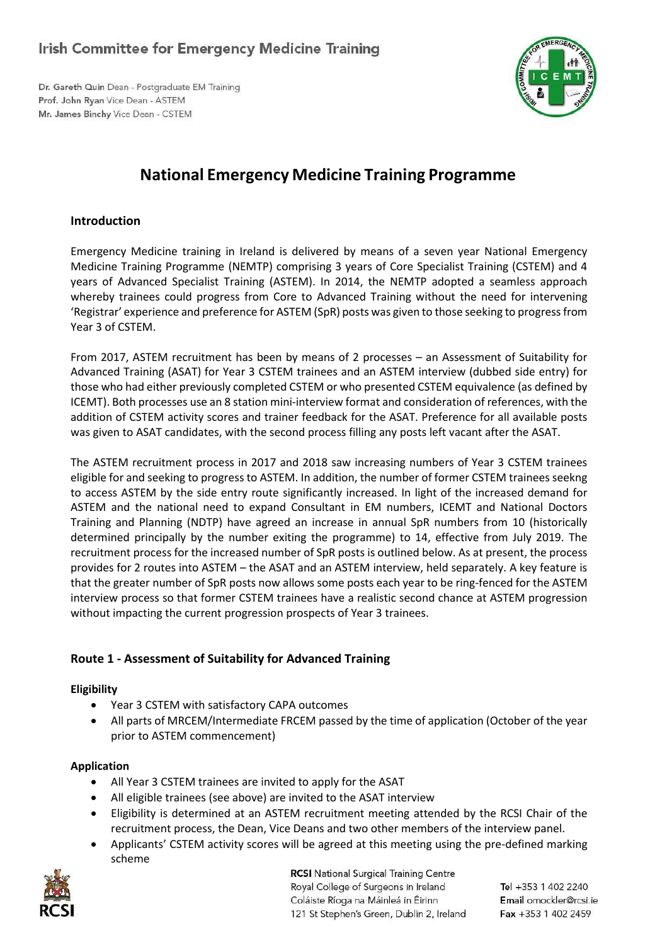## **Irish Committee for Emergency Medicine Training**

Dr. Gareth Quin Dean - Postgraduate EM Training Prof. John Ryan Vice Dean - ASTEM Mr. James Binchy Vice Dean - CSTEM



# **National Emergency Medicine Training Programme**

## **Introduction**

Emergency Medicine training in Ireland is delivered by means of a seven year National Emergency Medicine Training Programme (NEMTP) comprising 3 years of Core Specialist Training (CSTEM) and 4 years of Advanced Specialist Training (ASTEM). In 2014, the NEMTP adopted a seamless approach whereby trainees could progress from Core to Advanced Training without the need for intervening 'Registrar' experience and preference for ASTEM (SpR) posts was given to those seeking to progress from Year 3 of CSTEM.

From 2017, ASTEM recruitment has been by means of 2 processes – an Assessment of Suitability for Advanced Training (ASAT) for Year 3 CSTEM trainees and an ASTEM interview (dubbed side entry) for those who had either previously completed CSTEM or who presented CSTEM equivalence (as defined by ICEMT). Both processes use an 8 station mini-interview format and consideration of references, with the addition of CSTEM activity scores and trainer feedback for the ASAT. Preference for all available posts was given to ASAT candidates, with the second process filling any posts left vacant after the ASAT.

The ASTEM recruitment process in 2017 and 2018 saw increasing numbers of Year 3 CSTEM trainees eligible for and seeking to progress to ASTEM. In addition, the number of former CSTEM trainees seekng to access ASTEM by the side entry route significantly increased. In light of the increased demand for ASTEM and the national need to expand Consultant in EM numbers, ICEMT and National Doctors Training and Planning (NDTP) have agreed an increase in annual SpR numbers from 10 (historically determined principally by the number exiting the programme) to 14, effective from July 2019. The recruitment process for the increased number of SpR posts is outlined below. As at present, the process provides for 2 routes into ASTEM – the ASAT and an ASTEM interview, held separately. A key feature is that the greater number of SpR posts now allows some posts each year to be ring-fenced for the ASTEM interview process so that former CSTEM trainees have a realistic second chance at ASTEM progression without impacting the current progression prospects of Year 3 trainees.

## **Route 1 - Assessment of Suitability for Advanced Training**

## **Eligibility**

- Year 3 CSTEM with satisfactory CAPA outcomes
- All parts of MRCEM/Intermediate FRCEM passed by the time of application (October of the year prior to ASTEM commencement)

## **Application**

- All Year 3 CSTEM trainees are invited to apply for the ASAT
- All eligible trainees (see above) are invited to the ASAT interview
- Eligibility is determined at an ASTEM recruitment meeting attended by the RCSI Chair of the recruitment process, the Dean, Vice Deans and two other members of the interview panel.
- Applicants' CSTEM activity scores will be agreed at this meeting using the pre-defined marking scheme



**RCSI** National Surgical Training Centre Royal College of Surgeons in Ireland Coláiste Ríoga na Máinleá in Éirinn 121 St Stephen's Green, Dublin 2, Ireland

Tel +353 1 402 2240 Email omockler@rcsi.ie Fax +353 1 402 2459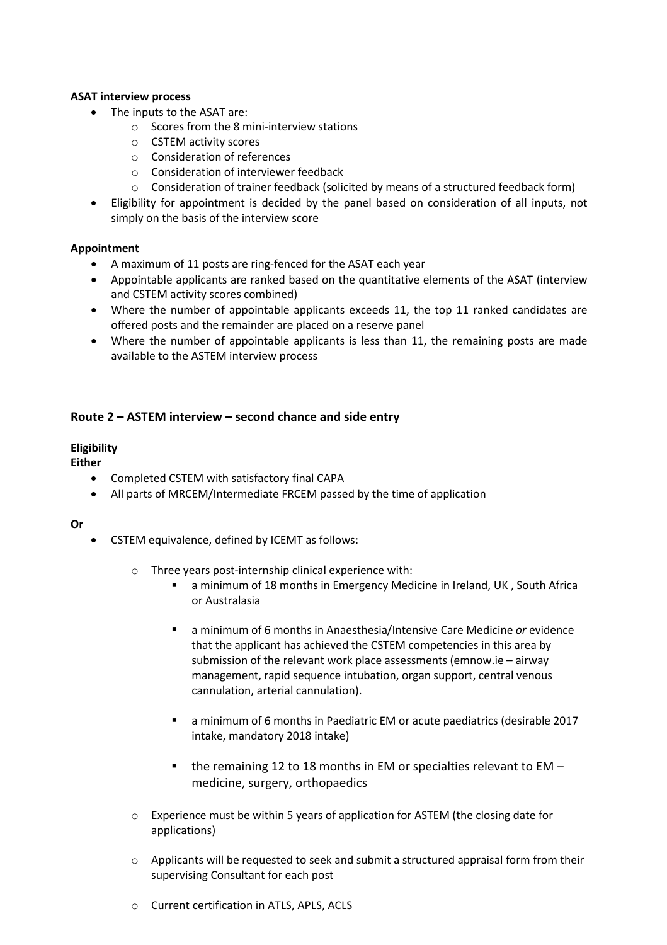#### **ASAT interview process**

- The inputs to the ASAT are:
	- o Scores from the 8 mini-interview stations
	- o CSTEM activity scores
	- o Consideration of references
	- o Consideration of interviewer feedback
	- $\circ$  Consideration of trainer feedback (solicited by means of a structured feedback form)
- Eligibility for appointment is decided by the panel based on consideration of all inputs, not simply on the basis of the interview score

#### **Appointment**

- A maximum of 11 posts are ring-fenced for the ASAT each year
- Appointable applicants are ranked based on the quantitative elements of the ASAT (interview and CSTEM activity scores combined)
- Where the number of appointable applicants exceeds 11, the top 11 ranked candidates are offered posts and the remainder are placed on a reserve panel
- Where the number of appointable applicants is less than 11, the remaining posts are made available to the ASTEM interview process

## **Route 2 – ASTEM interview – second chance and side entry**

#### **Eligibility**

**Either**

- Completed CSTEM with satisfactory final CAPA
- All parts of MRCEM/Intermediate FRCEM passed by the time of application

#### **Or**

- CSTEM equivalence, defined by ICEMT as follows:
	- o Three years post-internship clinical experience with:
		- a minimum of 18 months in Emergency Medicine in Ireland, UK , South Africa or Australasia
		- a minimum of 6 months in Anaesthesia/Intensive Care Medicine *or* evidence that the applicant has achieved the CSTEM competencies in this area by submission of the relevant work place assessments (emnow.ie – airway management, rapid sequence intubation, organ support, central venous cannulation, arterial cannulation).
		- a minimum of 6 months in Paediatric EM or acute paediatrics (desirable 2017 intake, mandatory 2018 intake)
		- $\blacksquare$  the remaining 12 to 18 months in EM or specialties relevant to EM medicine, surgery, orthopaedics
	- $\circ$  Experience must be within 5 years of application for ASTEM (the closing date for applications)
	- $\circ$  Applicants will be requested to seek and submit a structured appraisal form from their supervising Consultant for each post
	- o Current certification in ATLS, APLS, ACLS